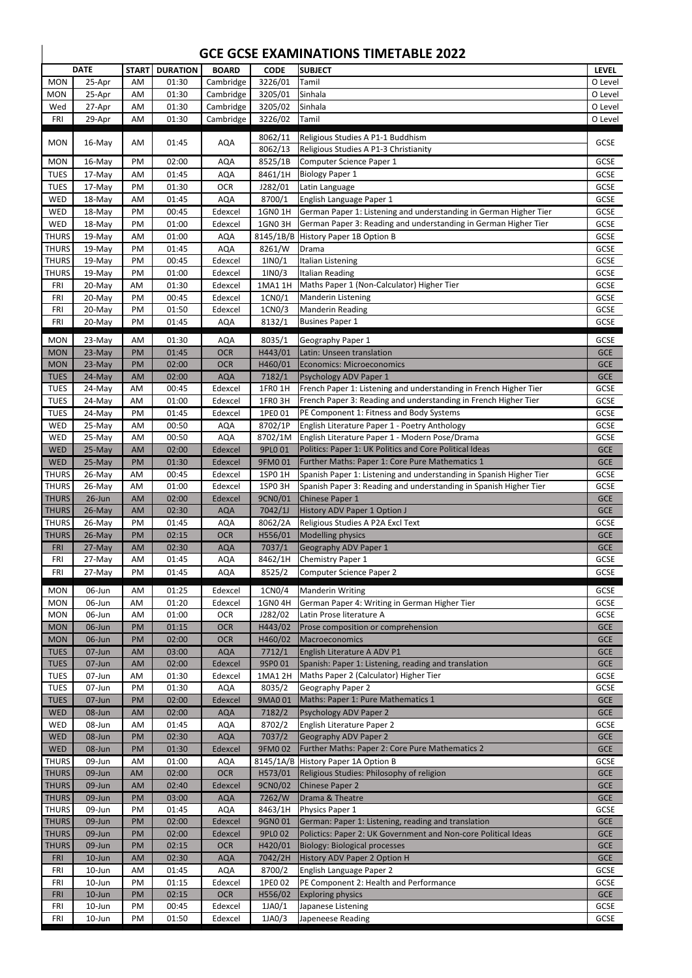|                              | <b>DATE</b>      | <b>START</b> | <b>DURATION</b> | <b>BOARD</b>          | <b>CODE</b>        | <b>SUBJECT</b>                                                                                            | <b>LEVEL</b>               |
|------------------------------|------------------|--------------|-----------------|-----------------------|--------------------|-----------------------------------------------------------------------------------------------------------|----------------------------|
| <b>MON</b>                   | 25-Apr           | AM           | 01:30           | Cambridge             | 3226/01            | Tamil                                                                                                     | O Level                    |
| <b>MON</b>                   | 25-Apr           | AM           | 01:30           | Cambridge             | 3205/01            | Sinhala                                                                                                   | O Level                    |
| Wed                          | 27-Apr           | AM           | 01:30           | Cambridge             | 3205/02            | Sinhala                                                                                                   | O Level                    |
| <b>FRI</b>                   | 29-Apr           | AM           | 01:30           | Cambridge             | 3226/02            | Tamil                                                                                                     | O Level                    |
|                              |                  |              |                 |                       | 8062/11            | Religious Studies A P1-1 Buddhism                                                                         |                            |
| <b>MON</b>                   | 16-May           | AM           | 01:45           | <b>AQA</b>            | 8062/13            | Religious Studies A P1-3 Christianity                                                                     | <b>GCSE</b>                |
| <b>MON</b>                   | 16-May           | PM           | 02:00           | <b>AQA</b>            | 8525/1B            | Computer Science Paper 1                                                                                  | <b>GCSE</b>                |
| <b>TUES</b>                  | 17-May           | AM           | 01:45           | <b>AQA</b>            | 8461/1H            | <b>Biology Paper 1</b>                                                                                    | <b>GCSE</b>                |
| <b>TUES</b>                  | 17-May           | PM           | 01:30           | <b>OCR</b>            | J282/01            | Latin Language                                                                                            | GCSE                       |
| WED                          | 18-May           | AM           | 01:45           | <b>AQA</b>            | 8700/1             | English Language Paper 1                                                                                  | <b>GCSE</b>                |
| WED                          | 18-May           | PM           | 00:45           | Edexcel               | 1GN0 1H            | German Paper 1: Listening and understanding in German Higher Tier                                         | GCSE                       |
| WED                          | 18-May           | PM           | 01:00           | Edexcel               | 1GN0 3H            | German Paper 3: Reading and understanding in German Higher Tier                                           | GCSE                       |
| <b>THURS</b>                 | 19-May           | AM           | 01:00           | <b>AQA</b>            | 8145/1B/B          | History Paper 1B Option B                                                                                 | GCSE                       |
| <b>THURS</b>                 | 19-May           | PM           | 01:45           | <b>AQA</b>            | 8261/W             | Drama                                                                                                     | <b>GCSE</b>                |
| <b>THURS</b>                 | 19-May           | PM           | 00:45           | Edexcel               | 1/N0/1             | <b>Italian Listening</b>                                                                                  | <b>GCSE</b>                |
| <b>THURS</b>                 | 19-May           | PM           | 01:00           | Edexcel               | 11NO/3             | <b>Italian Reading</b>                                                                                    | <b>GCSE</b>                |
| <b>FRI</b>                   | 20-May           | AM           | 01:30           | Edexcel               | 1MA1 1H            | Maths Paper 1 (Non-Calculator) Higher Tier                                                                | <b>GCSE</b>                |
| FRI<br>FRI                   | 20-May           | PM<br>PM     | 00:45<br>01:50  | Edexcel<br>Edexcel    | 1CN0/1<br>1CN0/3   | <b>Manderin Listening</b><br><b>Manderin Reading</b>                                                      | <b>GCSE</b><br><b>GCSE</b> |
| <b>FRI</b>                   | 20-May<br>20-May | PM           | 01:45           | <b>AQA</b>            | 8132/1             | <b>Busines Paper 1</b>                                                                                    | <b>GCSE</b>                |
|                              |                  |              |                 |                       |                    |                                                                                                           |                            |
| <b>MON</b>                   | 23-May           | AM           | 01:30           | <b>AQA</b>            | 8035/1             | Geography Paper 1                                                                                         | <b>GCSE</b>                |
| <b>MON</b>                   | 23-May           | PM           | 01:45           | <b>OCR</b>            | H443/01            | Latin: Unseen translation                                                                                 | <b>GCE</b>                 |
| <b>MON</b>                   | 23-May           | PM           | 02:00           | <b>OCR</b>            | H460/01            | Economics: Microeconomics                                                                                 | <b>GCE</b>                 |
| <b>TUES</b>                  | 24-May           | AM           | 02:00           | <b>AQA</b>            | 7182/1             | Psychology ADV Paper 1                                                                                    | <b>GCE</b>                 |
| <b>TUES</b>                  | 24-May           | AM           | 00:45           | Edexcel               | 1FR0 1H            | French Paper 1: Listening and understanding in French Higher Tier                                         | GCSE                       |
| <b>TUES</b>                  | 24-May           | AM           | 01:00           | Edexcel               | 1FRO 3H            | French Paper 3: Reading and understanding in French Higher Tier                                           | <b>GCSE</b>                |
| <b>TUES</b>                  | 24-May           | PM           | 01:45           | Edexcel               | 1PE0 01            | PE Component 1: Fitness and Body Systems                                                                  | <b>GCSE</b>                |
| <b>WED</b>                   | 25-May           | AM           | 00:50           | <b>AQA</b>            | 8702/1P            | English Literature Paper 1 - Poetry Anthology                                                             | <b>GCSE</b>                |
| WED<br><b>WED</b>            | 25-May           | AM<br>AM     | 00:50<br>02:00  | <b>AQA</b><br>Edexcel | 8702/1M<br>9PL0 01 | English Literature Paper 1 - Modern Pose/Drama<br>Politics: Paper 1: UK Politics and Core Political Ideas | <b>GCSE</b><br><b>GCE</b>  |
| <b>WED</b>                   | 25-May<br>25-May | PM           | 01:30           | Edexcel               | 9FM001             | Further Maths: Paper 1: Core Pure Mathematics 1                                                           | <b>GCE</b>                 |
| <b>THURS</b>                 | 26-May           | AM           | 00:45           | Edexcel               | 1SP0 1H            | Spanish Paper 1: Listening and understanding in Spanish Higher Tier                                       | <b>GCSE</b>                |
| <b>THURS</b>                 | 26-May           | AM           | 01:00           | Edexcel               | 1SP0 3H            | Spanish Paper 3: Reading and understanding in Spanish Higher Tier                                         | <b>GCSE</b>                |
| <b>THURS</b>                 | 26-Jun           | AM           | 02:00           | Edexcel               | 9CN0/01            | Chinese Paper 1                                                                                           | <b>GCE</b>                 |
| <b>THURS</b>                 | 26-May           | AM           | 02:30           | <b>AQA</b>            | 7042/1J            | <b>History ADV Paper 1 Option J</b>                                                                       | <b>GCE</b>                 |
| <b>THURS</b>                 | 26-May           | PM           | 01:45           | <b>AQA</b>            | 8062/2A            | Religious Studies A P2A Excl Text                                                                         | <b>GCSE</b>                |
| <b>THURS</b>                 | $26$ -May        | PM           | 02:15           | <b>OCR</b>            | H556/01            | Modelling physics                                                                                         | <b>GCE</b>                 |
| <b>FRI</b>                   | 27-May           | AM           | 02:30           | <b>AQA</b>            | 7037/1             | <b>Geography ADV Paper 1</b>                                                                              | <b>GCE</b>                 |
| <b>FRI</b>                   | 27-May           | AM           | 01:45           | <b>AQA</b>            | 8462/1H            | Chemistry Paper 1                                                                                         | <b>GCSE</b>                |
| <b>FRI</b>                   | 27-May           | PM           | 01:45           | <b>AQA</b>            | 8525/2             | Computer Science Paper 2                                                                                  | <b>GCSE</b>                |
| <b>MON</b>                   | 06-Jun           | AM           | 01:25           | Edexcel               | 1CN0/4             | <b>Manderin Writing</b>                                                                                   | <b>GCSE</b>                |
| <b>MON</b>                   | 06-Jun           | AM           | 01:20           | Edexcel               | 1GN04H             | German Paper 4: Writing in German Higher Tier                                                             | <b>GCSE</b>                |
| <b>MON</b>                   | 06-Jun           | AM           | 01:00           | <b>OCR</b>            | J282/02            | Latin Prose literature A                                                                                  | <b>GCSE</b>                |
| <b>MON</b>                   | 06-Jun           | PM           | 01:15           | <b>OCR</b>            | H443/02            | Prose composition or comprehension                                                                        | <b>GCE</b>                 |
| <b>MON</b>                   | 06-Jun           | PM           | 02:00           | <b>OCR</b>            | H460/02            | Macroeconomics                                                                                            | <b>GCE</b>                 |
| <b>TUES</b>                  | 07-Jun           | AM           | 03:00           | <b>AQA</b>            | 7712/1             | English Literature A ADV P1                                                                               | <b>GCE</b>                 |
| <b>TUES</b>                  | 07-Jun           | AM           | 02:00           | Edexcel               | 9SP0 01            | Spanish: Paper 1: Listening, reading and translation                                                      | <b>GCE</b>                 |
| <b>TUES</b>                  | 07-Jun           | AM           | 01:30           | Edexcel               | 1MA1 2H            | Maths Paper 2 (Calculator) Higher Tier                                                                    | <b>GCSE</b>                |
| <b>TUES</b>                  | 07-Jun           | PM           | 01:30           | <b>AQA</b>            | 8035/2             | <b>Geography Paper 2</b>                                                                                  | GCSE                       |
| <b>TUES</b>                  | 07-Jun           | PM           | 02:00           | Edexcel               | 9MA0 01            | Maths: Paper 1: Pure Mathematics 1                                                                        | <b>GCE</b>                 |
| <b>WED</b>                   | 08-Jun           | AM           | 02:00           | <b>AQA</b>            | 7182/2             | Psychology ADV Paper 2                                                                                    | <b>GCE</b>                 |
| WED                          | 08-Jun           | AM           | 01:45           | <b>AQA</b>            | 8702/2             | English Literature Paper 2                                                                                | <b>GCSE</b>                |
| <b>WED</b>                   | 08-Jun           | PM           | 02:30           | <b>AQA</b>            | 7037/2             | Geography ADV Paper 2                                                                                     | <b>GCE</b>                 |
| <b>WED</b>                   | 08-Jun           | PM           | 01:30           | Edexcel               | 9FM002             | Further Maths: Paper 2: Core Pure Mathematics 2                                                           | <b>GCE</b>                 |
| <b>THURS</b>                 | 09-Jun           | AM           | 01:00           | <b>AQA</b>            |                    | 8145/1A/B History Paper 1A Option B                                                                       | GCSE                       |
| <b>THURS</b>                 | 09-Jun           | AM           | 02:00           | <b>OCR</b>            | H573/01            | Religious Studies: Philosophy of religion                                                                 | <b>GCE</b>                 |
| <b>THURS</b>                 | 09-Jun           | AM           | 02:40           | Edexcel               | 9CN0/02            | Chinese Paper 2                                                                                           | <b>GCE</b>                 |
| <b>THURS</b><br><b>THURS</b> | 09-Jun<br>09-Jun | PM<br>PM     | 03:00<br>01:45  | <b>AQA</b>            | 7262/W             | Drama & Theatre<br>Physics Paper 1                                                                        | <b>GCE</b><br><b>GCSE</b>  |
| <b>THURS</b>                 | 09-Jun           | <b>PM</b>    | 02:00           | <b>AQA</b><br>Edexcel | 8463/1H<br>9GN001  | German: Paper 1: Listening, reading and translation                                                       | <b>GCE</b>                 |
| <b>THURS</b>                 | 09-Jun           | PM           | 02:00           | Edexcel               | 9PL0 02            | Polictics: Paper 2: UK Government and Non-core Political Ideas                                            | <b>GCE</b>                 |
| <b>THURS</b>                 | 09-Jun           | PM           | 02:15           | <b>OCR</b>            | H420/01            | Biology: Biological processes                                                                             | <b>GCE</b>                 |
| <b>FRI</b>                   | 10-Jun           | AM           | 02:30           | <b>AQA</b>            | 7042/2H            | History ADV Paper 2 Option H                                                                              | <b>GCE</b>                 |
| <b>FRI</b>                   | 10-Jun           | AM           | 01:45           | <b>AQA</b>            | 8700/2             | English Language Paper 2                                                                                  | <b>GCSE</b>                |
| <b>FRI</b>                   | 10-Jun           | PM           | 01:15           | Edexcel               | 1PE0 02            | PE Component 2: Health and Performance                                                                    | <b>GCSE</b>                |
| <b>FRI</b>                   | 10-Jun           | PM           | 02:15           | <b>OCR</b>            | H556/02            | <b>Exploring physics</b>                                                                                  | <b>GCE</b>                 |
| <b>FRI</b>                   | 10-Jun           | PM           | 00:45           | Edexcel               | $1$ JA $0/1$       | Japanese Listening                                                                                        | <b>GCSE</b>                |
| <b>FRI</b>                   | $10$ -Jun        | PM           | 01:50           | Edexcel               | $1$ JA $0/3$       | Japeneese Reading                                                                                         | GCSE                       |

## **GCE GCSE EXAMINATIONS TIMETABLE 2022**

 $\mathsf{l}$